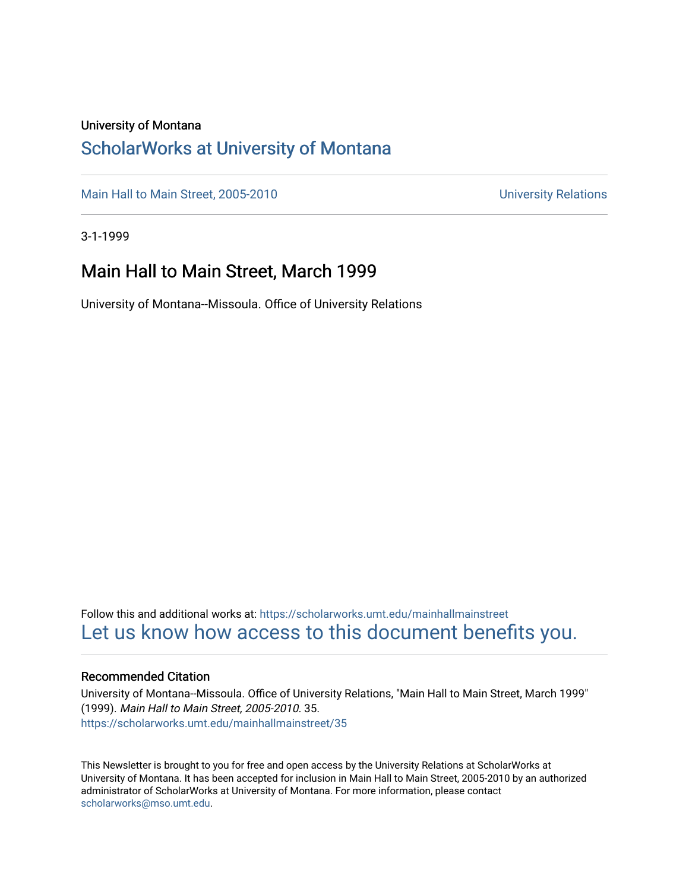### University of Montana

### [ScholarWorks at University of Montana](https://scholarworks.umt.edu/)

[Main Hall to Main Street, 2005-2010](https://scholarworks.umt.edu/mainhallmainstreet) Main Hall to Main Street, 2005-2010

3-1-1999

### Main Hall to Main Street, March 1999

University of Montana--Missoula. Office of University Relations

Follow this and additional works at: [https://scholarworks.umt.edu/mainhallmainstreet](https://scholarworks.umt.edu/mainhallmainstreet?utm_source=scholarworks.umt.edu%2Fmainhallmainstreet%2F35&utm_medium=PDF&utm_campaign=PDFCoverPages) [Let us know how access to this document benefits you.](https://goo.gl/forms/s2rGfXOLzz71qgsB2) 

#### Recommended Citation

University of Montana--Missoula. Office of University Relations, "Main Hall to Main Street, March 1999" (1999). Main Hall to Main Street, 2005-2010. 35. [https://scholarworks.umt.edu/mainhallmainstreet/35](https://scholarworks.umt.edu/mainhallmainstreet/35?utm_source=scholarworks.umt.edu%2Fmainhallmainstreet%2F35&utm_medium=PDF&utm_campaign=PDFCoverPages) 

This Newsletter is brought to you for free and open access by the University Relations at ScholarWorks at University of Montana. It has been accepted for inclusion in Main Hall to Main Street, 2005-2010 by an authorized administrator of ScholarWorks at University of Montana. For more information, please contact [scholarworks@mso.umt.edu.](mailto:scholarworks@mso.umt.edu)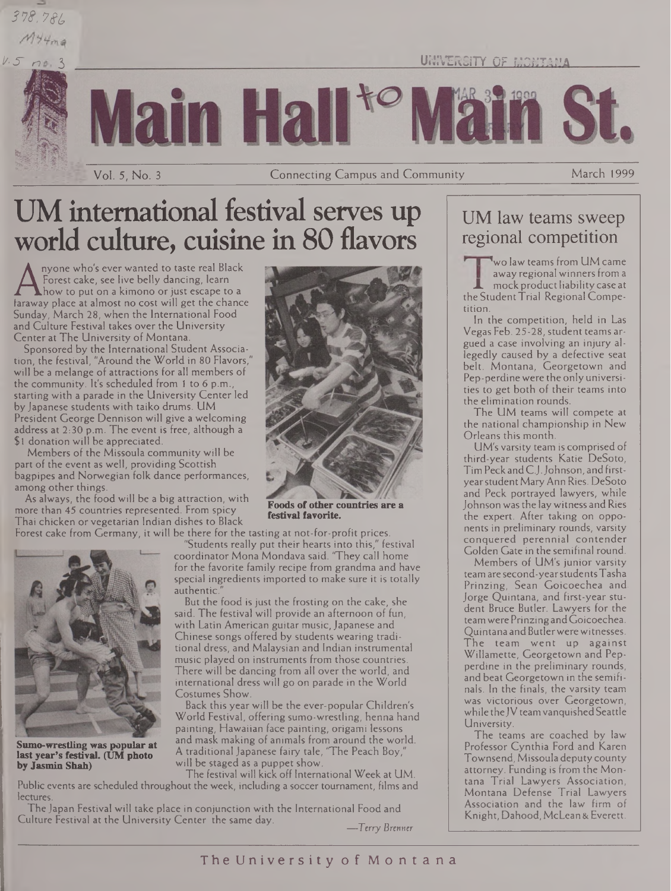### *373. 7ft,*  $M+4ma$



UNIVERSITY OF MONTAMA

**in Ha** 

Vol. 5, No. <sup>3</sup> Connecting Campus and Community March 1999

# UM international festival serves up world culture, cuisine in 80 flavors

Francest cake, see live belly dancing, learn<br>faraway place at almost no cost will get the chance<br>Sunday, March 28, when the International Food nyone who's ever wanted to taste real Black Forest cake, see live belly dancing, learn **The Example 19 Second Construction** Sunday, March 28, when the International Food and Culture Festival takes over the University Center at The University of Montana.

Sponsored by the International Student Association, the festival, "Around the World in 80 Flavors," will be a melange of attractions for all members of the community. It's scheduled from <sup>1</sup> to 6 p.m., starting with a parade in the University Center led by Japanese students with taiko drums. UM President George Dennison will give a welcoming address at 2:30 p.m. The event is free, although a \$1 donation will be appreciated.

Members of the Missoula community will be part of the event as well, providing Scottish bagpipes and Norwegian folk dance performances, among other things.

As always, the food will be a big attraction, with more than 45 countries represented. From spicy Thai chicken or vegetarian Indian dishes to Black



**Sumo-wrestling was popular at last year's festival. (UM photo by Jasmin Shah)**

lectures.



**Foods of other countries are a festival favorite.**

Forest cake from Germany, it will be there for the tasting at not-for-profit prices. "Students really put their hearts into this," festival

coordinator Mona Mondava said. "They call home for the favorite family recipe from grandma and have special ingredients imported to make sure it is totally authentic.

But the food is just the frosting on the cake, she said. The festival will provide an afternoon of fun, with Latin American guitar music, Japanese and Chinese songs offered by students wearing traditional dress, and Malaysian and Indian instrumental music played on instruments from those countries. There will be dancing from all over the world, and international dress will go on parade in the World Costumes Show.

Back this year will be the ever-popular Children's World Festival, offering sumo-wrestling, henna hand painting, Hawaiian face painting, origami lessons and mask making of animals from around the world. A traditional Japanese fairy tale, "The Peach Boy," will be staged as a puppet show.

The festival will kick off International Week at UM. Public events are scheduled throughout the week, including a soccer tournament, films and

The Japan Festival will take place in conjunction with the International Food and Culture Festival at the University Center the same day. *—Terry Brenner* Pep-perdinewere the onlyuniversities to get both of their teams into the elimination rounds. The UM teams will compete at the national championship in New

tition.

Orleans this month. UM's varsity team is comprised of third-year students Katie DeSoto, Tim Peck andC.J.Johnson, and firstyearstudentMaryAnn Ries. DeSoto and Peck portrayed lawyers, while Johnson was the lay witness and Ries the expert. After taking on opponents in preliminary rounds, varsity conquered perennial contender Golden Gate in the semifinal round.

UM law teams sweep regional competition

**<sup>I</sup>** 'wo law teams from UM came away regional winners from a mock product liability case at the Student Trial Regional Compe-

In the competition, held in Las Vegas Feb. 25-28, student teams argued a case involving an injury allegedly caused by a defective seat belt. Montana, Georgetown and

Members of UM's junior varsity teamare second-yearstudentsTasha Prinzing, Sean Goicoechea and. Jorge Quintana, and first-year student Bruce Butler. Lawyers for the teamwere PrinzingandGoicoechea. Quintana and Butler were witnesses. The team went up against Willamette, Georgetown and Pepperdine in the preliminary rounds, and beat Georgetown in the semifinals. In the finals, the varsity team was victorious over Georgetown, while the JV team vanquished Seattle University.

The teams are coached by law Professor Cynthia Ford and Karen Townsend, Missoula deputy county attorney. Funding is from the Montana Trial Lawyers Association, Montana Defense Trial Lawyers Association and the law firm of Knight, Dahood, McLean & Everett.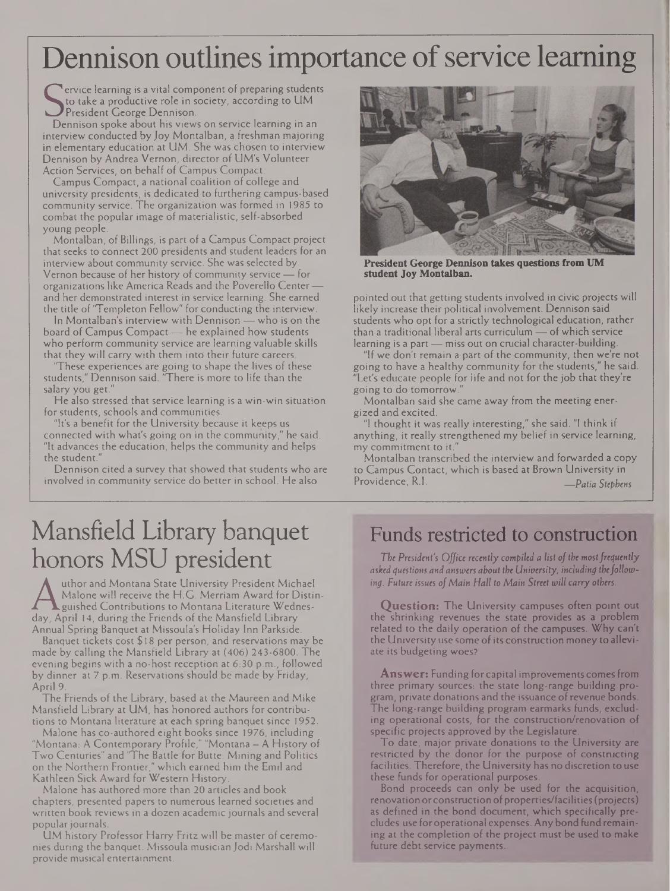# Dennison outlines importance of service learning

Sto take a productive role in society, according to UM<br>President George Dennison.<br>Dennison spoke about his views on service learning in an ervice learning is a vital component of preparing students to take a productive role in society, according to UM President George Dennison.

interview conducted by Joy Montalban, a freshman majoring in elementary education at UM. She was chosen to interview Dennison by Andrea Vernon, director of UM's Volunteer Action Services, on behalf of Campus Compact.

Campus Compact, a national coalition of college and university presidents, is dedicated to furthering campus-based community service. The organization was formed in 1985 to combat the popular image of materialistic, self-absorbed young people.

Montalban, of Billings, is part of a Campus Compact project that seeks to connect 200 presidents and student leaders for an interview about community service. She was selected by Vernon because of her history of community service — for organizations like America Reads and the Poverello Center and her demonstrated interest in service learning. She earned the title of 'Templeton Fellow" for conducting the interview.

In Montalban's interview with Dennison — who is on the board of Campus Compact — he explained how students who perform community service are learning valuable skills that they will carry with them into their future careers.

'These experiences are going to shape the lives of these students," Dennison said. 'There is more to life than the salary you get."

He also stressed that service learning is a win-win situation for students, schools and communities.

"It's a benefit for the University because it keeps us connected with what's going on in the community," he said. "It advances the education, helps the community and helps the student."

Dennison cited a survey that showed that students who are involved in community service do better in school. He also



**President George Dennison takes questions from UM student Joy Montalban.**

pointed out that getting students involved in civic projects will likely increase their political involvement. Dennison said students who opt for a strictly technological education, rather than a traditional liberal arts curriculum — of which service learning is a part — miss out on crucial character-building.

"If we don't remain a part of the community, then we're not going to have a healthy community for the students," he said. "Let's educate people for life and not for the job that they're going to do tomorrow."

Montalban said she came away from the meeting energized and excited.

"I thought it was really interesting," she said. "1 think if anything, it really strengthened my belief in service learning, my commitment to it."

Montalban transcribed the interview and forwarded a copy to Campus Contact, which is based at Brown University in<br>Providence, R.I. Providence, R.I. *—Patia Stephens*

# Mansfield Library banquet honors MSU president

Malone will receive the H.G. Merriam Award for Distin-<br>day, April 14, during the Friends of the Mansfield Library<br>Annual Soring Banquet at Missoula's Holiday Inn Parkside uthor and Montana State University President Michael Malone will receive the H.G. Merriam Award for Distinguished Contributions to Montana Literature Wednes-Annual Spring Banquet at Missoula's Holiday Inn Parkside.

Banquet tickets cost \$ 18 per person, and reservations may be made by calling the Mansfield Library at (406) 243-6800. The evening begins with a no-host reception at 6:30 p.m., followed by dinner at 7 p.m. Reservations should be made by Friday, April 9.

The Friends of the Library, based at the Maureen and Mike Mansfield Library at UM, has honored authors for contributions to Montana literature at each spring banquet since 1952.

Malone has co-authored eight books since 1976, including "Montana: A Contemporary Profile," "Montana — A History of Two Centuries" and 'The Battle for Butte: Mining and Politics on the Northern Frontier," which earned him the Emil and Kathleen Sick Award for Western History.

Malone has authored more than 20 articles and book chapters, presented papers to numerous learned societies and written book reviews in a dozen academic journals and several popular journals.

UM history Professor Harry Fritz will be master of ceremonies during the banquet. Missoula musician Jodi Marshall will provide musical entertainment.

### Funds restricted to construction

*The President's Office recently compiled a list ofthe* most*frequently asked questions and answers about the University, including thefollowing. Future issues ofMain Hall to Main Street will carry others.*

**Question:** The University campuses often point out the shrinking revenues the state provides as a problem related to the daily operation of the campuses. Why can't the University use some of its construction money to alleviate its budgeting woes?

**Answer:** Funding for capital improvements comes from three primary sources: the state long-range building program, private donations and the issuance ofrevenue bonds. The long-range building program earmarks funds, excluding operational costs, for the construction/renovation of specific projects approved by the Legislature.

To date, major private donations to the University are restricted by the donor for the purpose of constructing facilities. Therefore, the University has no discretion to use these funds for operational purposes.

Bond proceeds can only be used for the acquisition, renovation or construction of properties/facilities (projects) as defined in the bond document, which specifically precludes use foroperational expenses. Anybond fund remaining at the completion of the project must be used to make future debt service payments.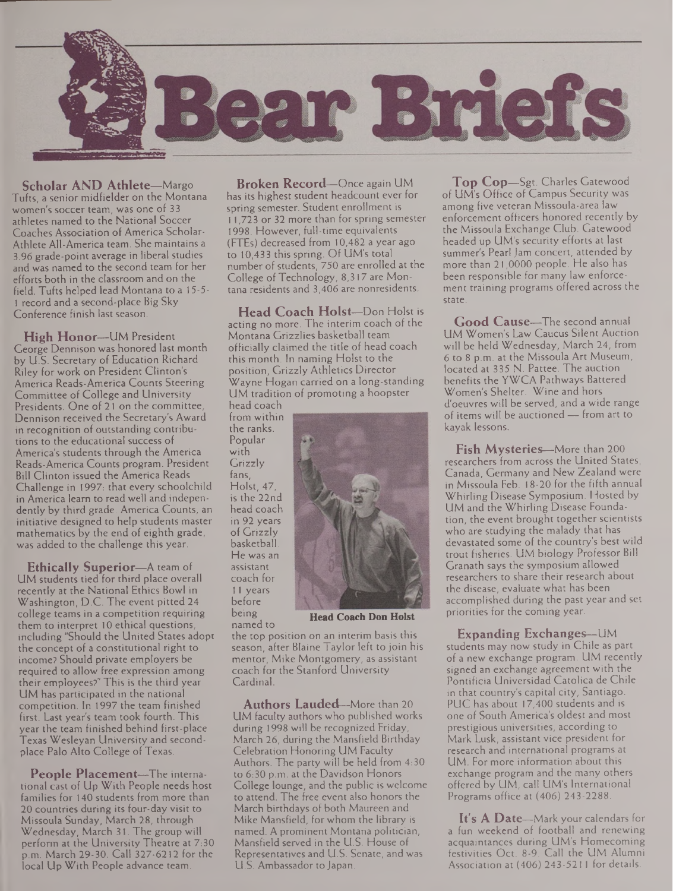

**Scholar AND Athlete—**Margo Tufts, a senior midfielder on the Montana women's soccer team, was one of 33 athletes named to the National Soccer Coaches Association of America Scholar-Athlete All-America team. She maintains a 3.96 grade-point average in liberal studies and was named to the second team for her efforts both in the classroom and on the field. Tufts helped lead Montana to a 15-5- <sup>1</sup> record and a second-place Big Sky Conference finish last season.

**High Honor—**UM President George Dennison was honored last month by U.S. Secretary of Education Richard Riley for work on President Clinton's America Reads-America Counts Steering Committee of College and University Presidents. One of 21 on the committee, Dennison received the Secretary's Award in recognition of outstanding contributions to the educational success of America's students through the America Reads-America Counts program. President Bill Clinton issued the America Reads Challenge in 1997: that every schoolchild in America learn to read well and independently by third grade. America Counts, an initiative designed to help students master mathematics by the end of eighth grade, was added to the challenge this year.

**Ethically Superior—**A team of UM students tied for third place overall recently at the National Ethics Bowl in Washington, D.C. The event pitted 24 college teams in a competition requiring them to interpret 10 ethical questions, including "Should the United States adopt the concept of a constitutional right to income? Should private employers be required to allow free expression among their employees?" This is the third year UM has participated in the national competition. In 1997 the team finished first. Last year's team took fourth. This year the team finished behind first-place Texas Wesleyan University and secondplace Palo Alto College of Texas.

**People Placement—**The international cast of Up With People needs host families for 140 students from more than 20 countries during its four-day visit to Missoula Sunday, March 28, through Wednesday, March 31. The group will perform at the University Theatre at 7:30 p.m. March 29-30. Call 327-6212 for the local Up With People advance team.

**Broken Record—**Once again UM has its highest student headcount ever for spring semester. Student enrollment is 11,723 or 32 more than for spring semester 1998. However, full-time equivalents (FTEs) decreased from 10,482 a year ago to 10,433 this spring. Of UM's total number of students, 750 are enrolled at the College of Technology, 8,317 are Montana residents and 3,406 are nonresidents.

**Head Coach Holst—**Don Holst is acting no more. The interim coach of the Montana Grizzlies basketball team officially claimed the title of head coach this month. In naming Holst to the position, Grizzly Athletics Director Wayne Hogan carried on a long-standing UM tradition of promoting a hoopster head coach

from within the ranks. Popular with Grizzly fans, Holst, 47, is the 22nd head coach in 92 years of Grizzly basketball. He was an assistant coach for 11 years before being

**Head Coach Don Holst**

named to the top position on an interim basis this season, after Blaine Taylor left to join his mentor, Mike Montgomery, as assistant coach for the Stanford University Cardinal.

**Authors Lauded—**More than 20 UM faculty authors who published works during 1998 will be recognized Friday, March 26, during the Mansfield Birthday Celebration Honoring UM Faculty Authors. The party will be held from 4:30 to 6:30 p.m. at the Davidson Honors College lounge, and the public is welcome to attend. The free event also honors the March birthdays of both Maureen and Mike Mansfield, for whom the library is named. A prominent Montana politician, Mansfield served in the U.S. House of Representatives and U.S. Senate, and was U.S. Ambassador toJapan.

**Top Cop—**Sgt. Charles Gatewood of UM's Office of Campus Security was among five veteran Missoula-area law enforcement officers honored recently by the Missoula Exchange Club. Gatewood headed up UM's security efforts at last summer's Pearl Jam concert, attended by more than 21,0000 people. He also has been responsible for many law enforcement training programs offered across the state.

**Good Cause—**The second annual UM Women's Law Caucus Silent Auction will be held Wednesday, March 24, from 6 to 8 p.m. at the Missoula Art Museum, located at 335 N. Pattee. The auction benefits the YWCA Pathways Battered Women's Shelter. Wine and hors d'oeuvres will be served, and a wide range of items will be auctioned — from art to kayak lessons.

**Fish Mysteries—**More than 200 researchers from across the United States, Canada, Germany and New Zealand were in Missoula Feb. 18-20 for the fifth annual Whirling Disease Symposium. Hosted by UM and the Whirling Disease Foundation, the event brought together scientists who are studying the malady that has devastated some of the country's best wild trout fisheries. UM biology Professor Bill Granath says the symposium allowed researchers to share their research about the disease, evaluate what has been accomplished during the past year and set priorities for the coming year.

**Expanding Exchanges—**UM students may now study in Chile as part of a new exchange program. UM recently signed an exchange agreement with the Pontificia Universidad Catolica de Chile in that country's capital city, Santiago. PUC has about 17,400 students and is one of South America's oldest and most prestigious universities, according to Mark Lusk, assistant vice president for research and international programs at UM. For more information about this exchange program and the many others offered by UM, call UM's International Programs office at (406) 243-2288.

**It's A Date—**Mark your calendars for a fun weekend of football and renewing acquaintances during UM's Homecoming festivities Oct. 8-9. Call the UM Alumni Association at (406) 243-5211 for details.